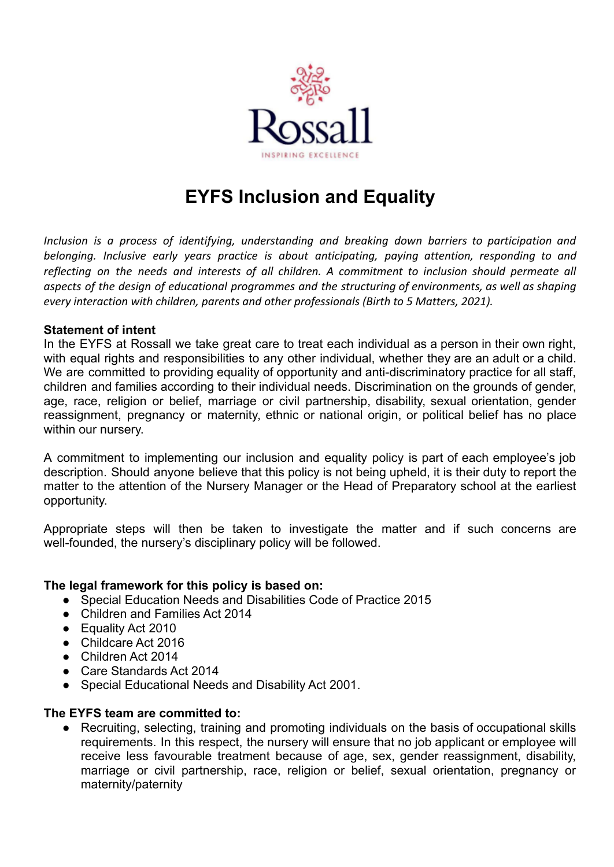

# **EYFS Inclusion and Equality**

*Inclusion is a process of identifying, understanding and breaking down barriers to participation and belonging. Inclusive early years practice is about anticipating, paying attention, responding to and reflecting on the needs and interests of all children. A commitment to inclusion should permeate all aspects of the design of educational programmes and the structuring of environments, as well as shaping every interaction with children, parents and other professionals (Birth to 5 Matters, 2021).*

#### **Statement of intent**

In the EYFS at Rossall we take great care to treat each individual as a person in their own right, with equal rights and responsibilities to any other individual, whether they are an adult or a child. We are committed to providing equality of opportunity and anti-discriminatory practice for all staff, children and families according to their individual needs. Discrimination on the grounds of gender, age, race, religion or belief, marriage or civil partnership, disability, sexual orientation, gender reassignment, pregnancy or maternity, ethnic or national origin, or political belief has no place within our nursery.

A commitment to implementing our inclusion and equality policy is part of each employee's job description. Should anyone believe that this policy is not being upheld, it is their duty to report the matter to the attention of the Nursery Manager or the Head of Preparatory school at the earliest opportunity.

Appropriate steps will then be taken to investigate the matter and if such concerns are well-founded, the nursery's disciplinary policy will be followed.

## **The legal framework for this policy is based on:**

- Special Education Needs and Disabilities Code of Practice 2015
- Children and Families Act 2014
- Equality Act 2010
- Childcare Act 2016
- Children Act 2014
- Care Standards Act 2014
- Special Educational Needs and Disability Act 2001.

#### **The EYFS team are committed to:**

● Recruiting, selecting, training and promoting individuals on the basis of occupational skills requirements. In this respect, the nursery will ensure that no job applicant or employee will receive less favourable treatment because of age, sex, gender reassignment, disability, marriage or civil partnership, race, religion or belief, sexual orientation, pregnancy or maternity/paternity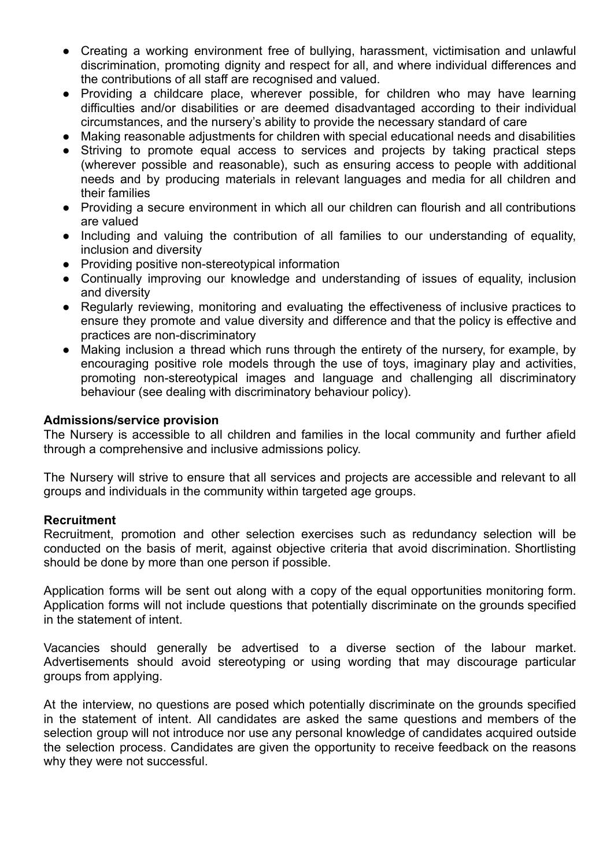- Creating a working environment free of bullying, harassment, victimisation and unlawful discrimination, promoting dignity and respect for all, and where individual differences and the contributions of all staff are recognised and valued.
- Providing a childcare place, wherever possible, for children who may have learning difficulties and/or disabilities or are deemed disadvantaged according to their individual circumstances, and the nursery's ability to provide the necessary standard of care
- Making reasonable adjustments for children with special educational needs and disabilities
- Striving to promote equal access to services and projects by taking practical steps (wherever possible and reasonable), such as ensuring access to people with additional needs and by producing materials in relevant languages and media for all children and their families
- Providing a secure environment in which all our children can flourish and all contributions are valued
- Including and valuing the contribution of all families to our understanding of equality, inclusion and diversity
- Providing positive non-stereotypical information
- Continually improving our knowledge and understanding of issues of equality, inclusion and diversity
- Regularly reviewing, monitoring and evaluating the effectiveness of inclusive practices to ensure they promote and value diversity and difference and that the policy is effective and practices are non-discriminatory
- Making inclusion a thread which runs through the entirety of the nursery, for example, by encouraging positive role models through the use of toys, imaginary play and activities, promoting non-stereotypical images and language and challenging all discriminatory behaviour (see dealing with discriminatory behaviour policy).

#### **Admissions/service provision**

The Nursery is accessible to all children and families in the local community and further afield through a comprehensive and inclusive admissions policy.

The Nursery will strive to ensure that all services and projects are accessible and relevant to all groups and individuals in the community within targeted age groups.

#### **Recruitment**

Recruitment, promotion and other selection exercises such as redundancy selection will be conducted on the basis of merit, against objective criteria that avoid discrimination. Shortlisting should be done by more than one person if possible.

Application forms will be sent out along with a copy of the equal opportunities monitoring form. Application forms will not include questions that potentially discriminate on the grounds specified in the statement of intent.

Vacancies should generally be advertised to a diverse section of the labour market. Advertisements should avoid stereotyping or using wording that may discourage particular groups from applying.

At the interview, no questions are posed which potentially discriminate on the grounds specified in the statement of intent. All candidates are asked the same questions and members of the selection group will not introduce nor use any personal knowledge of candidates acquired outside the selection process. Candidates are given the opportunity to receive feedback on the reasons why they were not successful.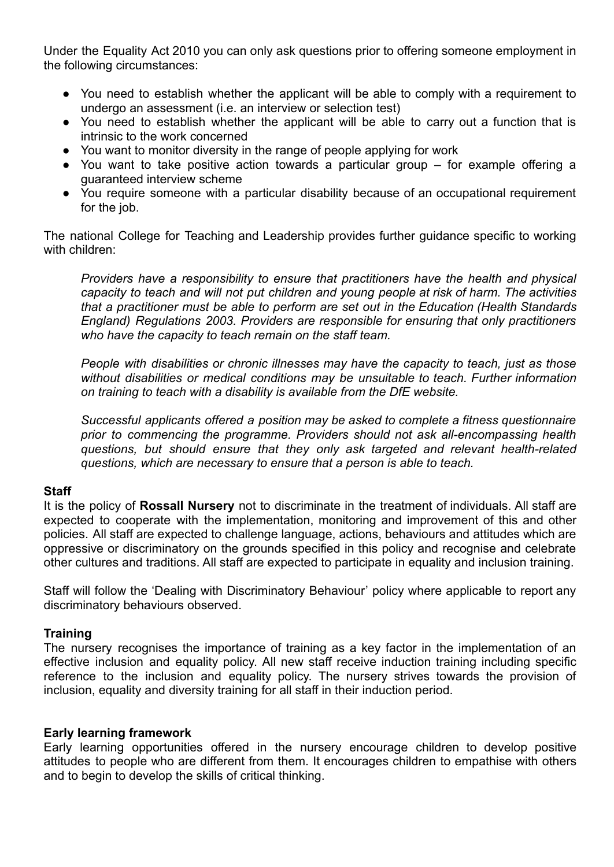Under the Equality Act 2010 you can only ask questions prior to offering someone employment in the following circumstances:

- You need to establish whether the applicant will be able to comply with a requirement to undergo an assessment (i.e. an interview or selection test)
- You need to establish whether the applicant will be able to carry out a function that is intrinsic to the work concerned
- You want to monitor diversity in the range of people applying for work
- You want to take positive action towards a particular group for example offering a guaranteed interview scheme
- You require someone with a particular disability because of an occupational requirement for the job.

The national College for Teaching and Leadership provides further guidance specific to working with children:

*Providers have a responsibility to ensure that practitioners have the health and physical capacity to teach and will not put children and young people at risk of harm. The activities that a practitioner must be able to perform are set out in the Education (Health Standards England) Regulations 2003. Providers are responsible for ensuring that only practitioners who have the capacity to teach remain on the staff team.*

*People with disabilities or chronic illnesses may have the capacity to teach, just as those without disabilities or medical conditions may be unsuitable to teach. Further information on training to teach with a disability is available from the DfE website.*

*Successful applicants offered a position may be asked to complete a fitness questionnaire prior to commencing the programme. Providers should not ask all-encompassing health questions, but should ensure that they only ask targeted and relevant health-related questions, which are necessary to ensure that a person is able to teach.*

## **Staff**

It is the policy of **Rossall Nursery** not to discriminate in the treatment of individuals. All staff are expected to cooperate with the implementation, monitoring and improvement of this and other policies. All staff are expected to challenge language, actions, behaviours and attitudes which are oppressive or discriminatory on the grounds specified in this policy and recognise and celebrate other cultures and traditions. All staff are expected to participate in equality and inclusion training.

Staff will follow the 'Dealing with Discriminatory Behaviour' policy where applicable to report any discriminatory behaviours observed.

## **Training**

The nursery recognises the importance of training as a key factor in the implementation of an effective inclusion and equality policy. All new staff receive induction training including specific reference to the inclusion and equality policy. The nursery strives towards the provision of inclusion, equality and diversity training for all staff in their induction period.

#### **Early learning framework**

Early learning opportunities offered in the nursery encourage children to develop positive attitudes to people who are different from them. It encourages children to empathise with others and to begin to develop the skills of critical thinking.